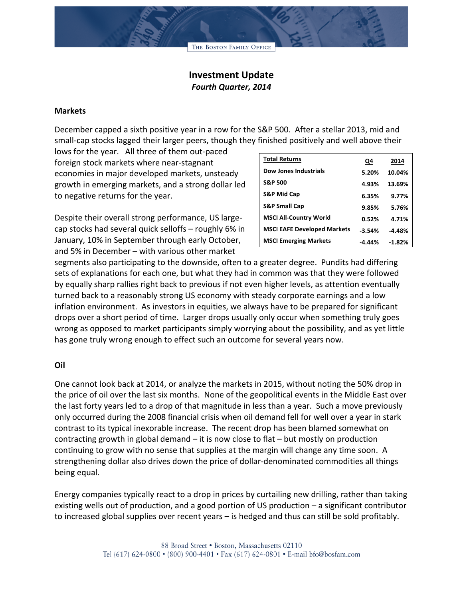THE BOSTON FAMILY OFFICE

# **Investment Update** *Fourth Quarter, 2014*

#### **Markets**

December capped a sixth positive year in a row for the S&P 500. After a stellar 2013, mid and small-cap stocks lagged their larger peers, though they finished positively and well above their

lows for the year. All three of them out-paced foreign stock markets where near-stagnant economies in major developed markets, unsteady growth in emerging markets, and a strong dollar led to negative returns for the year.

Despite their overall strong performance, US largecap stocks had several quick selloffs – roughly  $6\%$  in January, 10% in September through early October, and 5% in December – with various other market

| <b>Total Returns</b>               | Q4       | 2014     |
|------------------------------------|----------|----------|
| Dow Jones Industrials              | 5.20%    | 10.04%   |
| <b>S&amp;P 500</b>                 | 4.93%    | 13.69%   |
| <b>S&amp;P Mid Cap</b>             | 6.35%    | 9.77%    |
| <b>S&amp;P Small Cap</b>           | 9.85%    | 5.76%    |
| <b>MSCI All-Country World</b>      | 0.52%    | 4.71%    |
| <b>MSCI EAFE Developed Markets</b> | $-3.54%$ | $-4.48%$ |
| <b>MSCI Emerging Markets</b>       | $-4.44%$ | $-1.82%$ |

segments also participating to the downside, often to a greater degree. Pundits had differing sets of explanations for each one, but what they had in common was that they were followed by equally sharp rallies right back to previous if not even higher levels, as attention eventually turned back to a reasonably strong US economy with steady corporate earnings and a low inflation environment. As investors in equities, we always have to be prepared for significant drops over a short period of time. Larger drops usually only occur when something truly goes wrong as opposed to market participants simply worrying about the possibility, and as yet little has gone truly wrong enough to effect such an outcome for several years now.

## **Oil**

One cannot look back at 2014, or analyze the markets in 2015, without noting the 50% drop in the price of oil over the last six months. None of the geopolitical events in the Middle East over the last forty years led to a drop of that magnitude in less than a year. Such a move previously only occurred during the 2008 financial crisis when oil demand fell for well over a year in stark contrast to its typical inexorable increase. The recent drop has been blamed somewhat on contracting growth in global demand  $-$  it is now close to flat  $-$  but mostly on production continuing to grow with no sense that supplies at the margin will change any time soon. A strengthening dollar also drives down the price of dollar-denominated commodities all things being equal.

Energy companies typically react to a drop in prices by curtailing new drilling, rather than taking existing wells out of production, and a good portion of US production – a significant contributor to increased global supplies over recent years – is hedged and thus can still be sold profitably.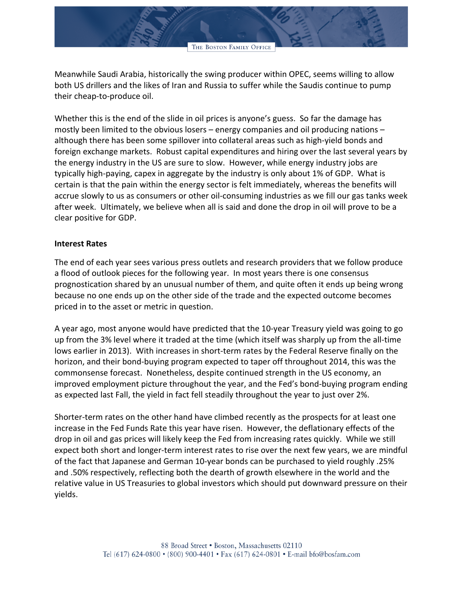Meanwhile Saudi Arabia, historically the swing producer within OPEC, seems willing to allow both US drillers and the likes of Iran and Russia to suffer while the Saudis continue to pump their cheap-to-produce oil.

Whether this is the end of the slide in oil prices is anyone's guess. So far the damage has mostly been limited to the obvious losers – energy companies and oil producing nations – although there has been some spillover into collateral areas such as high-yield bonds and foreign exchange markets. Robust capital expenditures and hiring over the last several years by the energy industry in the US are sure to slow. However, while energy industry jobs are typically high-paying, capex in aggregate by the industry is only about 1% of GDP. What is certain is that the pain within the energy sector is felt immediately, whereas the benefits will accrue slowly to us as consumers or other oil-consuming industries as we fill our gas tanks week after week. Ultimately, we believe when all is said and done the drop in oil will prove to be a clear positive for GDP.

## **Interest Rates**

The end of each year sees various press outlets and research providers that we follow produce a flood of outlook pieces for the following year. In most years there is one consensus prognostication shared by an unusual number of them, and quite often it ends up being wrong because no one ends up on the other side of the trade and the expected outcome becomes priced in to the asset or metric in question.

A year ago, most anyone would have predicted that the 10-year Treasury yield was going to go up from the 3% level where it traded at the time (which itself was sharply up from the all-time lows earlier in 2013). With increases in short-term rates by the Federal Reserve finally on the horizon, and their bond-buying program expected to taper off throughout 2014, this was the commonsense forecast. Nonetheless, despite continued strength in the US economy, an improved employment picture throughout the year, and the Fed's bond-buying program ending as expected last Fall, the yield in fact fell steadily throughout the year to just over 2%.

Shorter-term rates on the other hand have climbed recently as the prospects for at least one increase in the Fed Funds Rate this year have risen. However, the deflationary effects of the drop in oil and gas prices will likely keep the Fed from increasing rates quickly. While we still expect both short and longer-term interest rates to rise over the next few years, we are mindful of the fact that Japanese and German 10-year bonds can be purchased to yield roughly .25% and .50% respectively, reflecting both the dearth of growth elsewhere in the world and the relative value in US Treasuries to global investors which should put downward pressure on their yields.